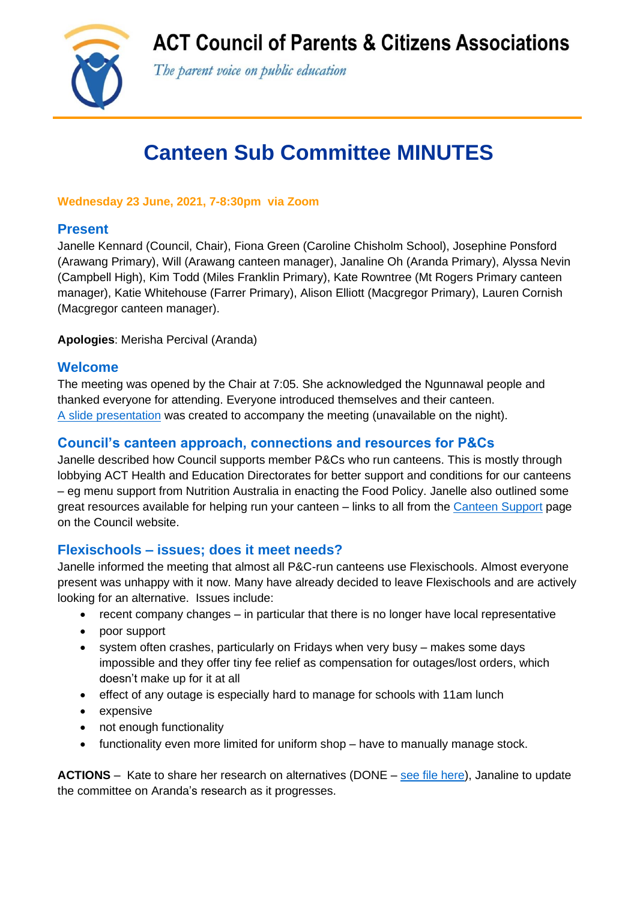**ACT Council of Parents & Citizens Associations** 



The parent voice on public education

# **Canteen Sub Committee MINUTES**

#### **Wednesday 23 June, 2021, 7-8:30pm via Zoom**

## **Present**

Janelle Kennard (Council, Chair), Fiona Green (Caroline Chisholm School), Josephine Ponsford (Arawang Primary), Will (Arawang canteen manager), Janaline Oh (Aranda Primary), Alyssa Nevin (Campbell High), Kim Todd (Miles Franklin Primary), Kate Rowntree (Mt Rogers Primary canteen manager), Katie Whitehouse (Farrer Primary), Alison Elliott (Macgregor Primary), Lauren Cornish (Macgregor canteen manager).

**Apologies**: Merisha Percival (Aranda)

### **Welcome**

The meeting was opened by the Chair at 7:05. She acknowledged the Ngunnawal people and thanked everyone for attending. Everyone introduced themselves and their canteen. [A slide presentation](https://www.actparents.org.au/images/CanteensubCommitteePresJun2021.pdf) was created to accompany the meeting (unavailable on the night).

## **Council's canteen approach, connections and resources for P&Cs**

Janelle described how Council supports member P&Cs who run canteens. This is mostly through lobbying ACT Health and Education Directorates for better support and conditions for our canteens – eg menu support from Nutrition Australia in enacting the Food Policy. Janelle also outlined some great resources available for helping run your canteen – links to all from the [Canteen Support](https://www.actparents.org.au/index.php/help-for-p-cs/canteen-support) page on the Council website.

#### **Flexischools – issues; does it meet needs?**

Janelle informed the meeting that almost all P&C-run canteens use Flexischools. Almost everyone present was unhappy with it now. Many have already decided to leave Flexischools and are actively looking for an alternative. Issues include:

- recent company changes in particular that there is no longer have local representative
- poor support
- system often crashes, particularly on Fridays when very busy makes some days impossible and they offer tiny fee relief as compensation for outages/lost orders, which doesn't make up for it at all
- effect of any outage is especially hard to manage for schools with 11am lunch
- expensive
- not enough functionality
- functionality even more limited for uniform shop have to manually manage stock.

**ACTIONS** – Kate to share her research on alternatives (DONE – [see file here\)](https://www.actparents.org.au/images/SchoolCanteenOnlineOrderingComparison2.xlsx), Janaline to update the committee on Aranda's research as it progresses.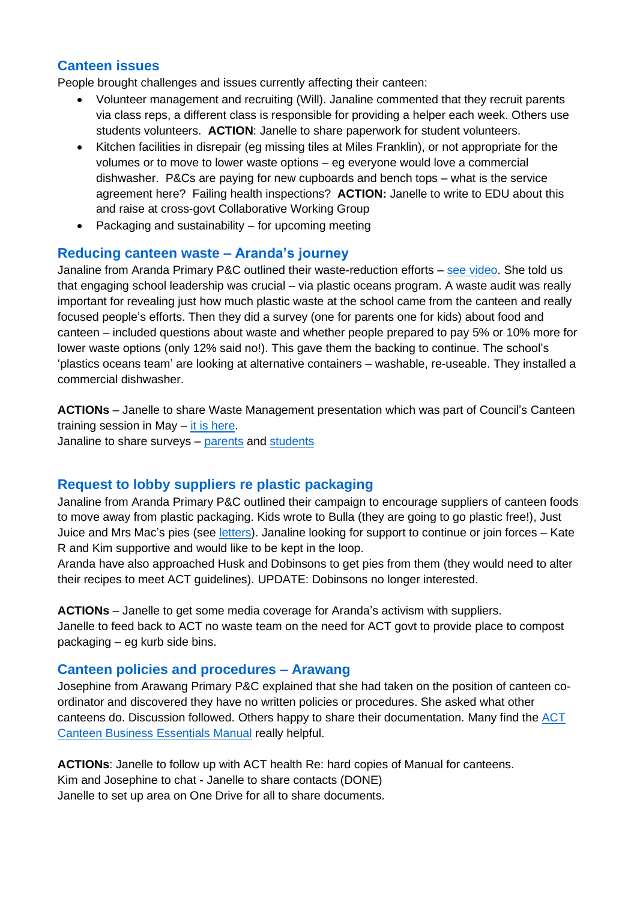#### **Canteen issues**

People brought challenges and issues currently affecting their canteen:

- Volunteer management and recruiting (Will). Janaline commented that they recruit parents via class reps, a different class is responsible for providing a helper each week. Others use students volunteers. **ACTION**: Janelle to share paperwork for student volunteers.
- Kitchen facilities in disrepair (eg missing tiles at Miles Franklin), or not appropriate for the volumes or to move to lower waste options – eg everyone would love a commercial dishwasher. P&Cs are paying for new cupboards and bench tops – what is the service agreement here? Failing health inspections? **ACTION:** Janelle to write to EDU about this and raise at cross-govt Collaborative Working Group
- Packaging and sustainability for upcoming meeting

#### **Reducing canteen waste – Aranda's journey**

Janaline from Aranda Primary P&C outlined their waste-reduction efforts – see [video.](https://www.plasticoceans.org.au/education) She told us that engaging school leadership was crucial – via plastic oceans program. A waste audit was really important for revealing just how much plastic waste at the school came from the canteen and really focused people's efforts. Then they did a survey (one for parents one for kids) about food and canteen – included questions about waste and whether people prepared to pay 5% or 10% more for lower waste options (only 12% said no!). This gave them the backing to continue. The school's 'plastics oceans team' are looking at alternative containers – washable, re-useable. They installed a commercial dishwasher.

**ACTIONs** – Janelle to share Waste Management presentation which was part of Council's Canteen training session in May – [it is here.](https://www.actparents.org.au/images/ReducingPCwastePres.pdf) Janaline to share surveys – [parents](https://docs.google.com/document/d/12BJ7mZngUvYKGdG9LgNSCifmml0_UZi6nN_F7rtcRUo/edit?usp=sharing) and [students](https://docs.google.com/document/d/1XtNq10gSC6zxzzME42qKYzNkD5eZ-vU_JTyTi2m8e54/edit?usp=sharing)

#### **Request to lobby suppliers re plastic packaging**

Janaline from Aranda Primary P&C outlined their campaign to encourage suppliers of canteen foods to move away from plastic packaging. Kids wrote to Bulla (they are going to go plastic free!), Just Juice and Mrs Mac's pies (see [letters\)](https://standuptothegrownups.net/251/writing-to-food-companies/). Janaline looking for support to continue or join forces – Kate R and Kim supportive and would like to be kept in the loop.

Aranda have also approached Husk and Dobinsons to get pies from them (they would need to alter their recipes to meet ACT guidelines). UPDATE: Dobinsons no longer interested.

**ACTIONs** – Janelle to get some media coverage for Aranda's activism with suppliers. Janelle to feed back to ACT no waste team on the need for ACT govt to provide place to compost packaging – eg kurb side bins.

#### **Canteen policies and procedures – Arawang**

Josephine from Arawang Primary P&C explained that she had taken on the position of canteen coordinator and discovered they have no written policies or procedures. She asked what other canteens do. Discussion followed. Others happy to share their documentation. Many find the [ACT](https://www.health.act.gov.au/sites/default/files/2020-06/NMM%20ACT%20Health%20CBE.pdf)  [Canteen Business Essentials Manual](https://www.health.act.gov.au/sites/default/files/2020-06/NMM%20ACT%20Health%20CBE.pdf) really helpful.

**ACTIONs**: Janelle to follow up with ACT health Re: hard copies of Manual for canteens. Kim and Josephine to chat - Janelle to share contacts (DONE) Janelle to set up area on One Drive for all to share documents.